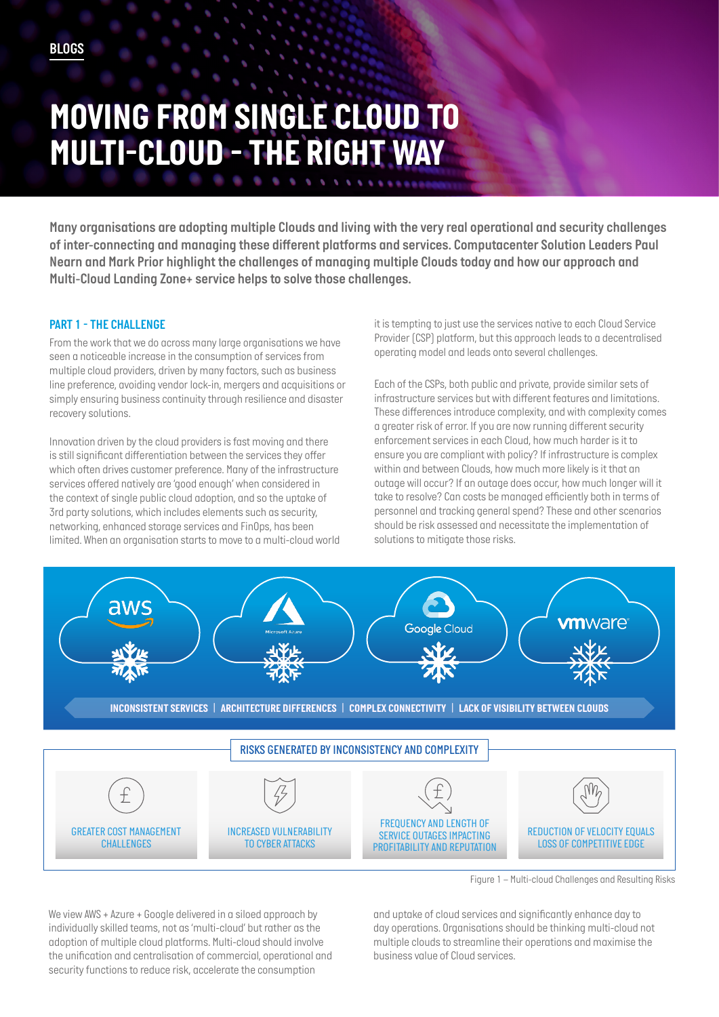# *MOVING FROM SINGLE CLOUD TO MULTI-CLOUD - THE RIGHT WAY*

*Many organisations are adopting multiple Clouds and living with the very real operational and security challenges of inter-connecting and managing these different platforms and services. Computacenter Solution Leaders Paul Nearn and Mark Prior highlight the challenges of managing multiple Clouds today and how our approach and Multi-Cloud Landing Zone+ service helps to solve those challenges.*

#### *PART 1 - THE CHALLENGE*

*From the work that we do across many large organisations we have seen a noticeable increase in the consumption of services from multiple cloud providers, driven by many factors, such as business line preference, avoiding vendor lock-in, mergers and acquisitions or simply ensuring business continuity through resilience and disaster recovery solutions.* 

*Innovation driven by the cloud providers is fast moving and there is still significant differentiation between the services they offer which often drives customer preference. Many of the infrastructure services offered natively are 'good enough' when considered in the context of single public cloud adoption, and so the uptake of 3rd party solutions, which includes elements such as security, networking, enhanced storage services and FinOps, has been limited. When an organisation starts to move to a multi-cloud world*  *it is tempting to just use the services native to each Cloud Service Provider (CSP) platform, but this approach leads to a decentralised operating model and leads onto several challenges.* 

*Each of the CSPs, both public and private, provide similar sets of infrastructure services but with different features and limitations. These differences introduce complexity, and with complexity comes a greater risk of error. If you are now running different security enforcement services in each Cloud, how much harder is it to ensure you are compliant with policy? If infrastructure is complex within and between Clouds, how much more likely is it that an outage will occur? If an outage does occur, how much longer will it take to resolve? Can costs be managed efficiently both in terms of personnel and tracking general spend? These and other scenarios should be risk assessed and necessitate the implementation of solutions to mitigate those risks.*



*Figure 1 – Multi-cloud Challenges and Resulting Risks*

*We view AWS + Azure + Google delivered in a siloed approach by individually skilled teams, not as 'multi-cloud' but rather as the adoption of multiple cloud platforms. Multi-cloud should involve the unification and centralisation of commercial, operational and security functions to reduce risk, accelerate the consumption* 

*and uptake of cloud services and significantly enhance day to day operations. Organisations should be thinking multi-cloud not multiple clouds to streamline their operations and maximise the business value of Cloud services.*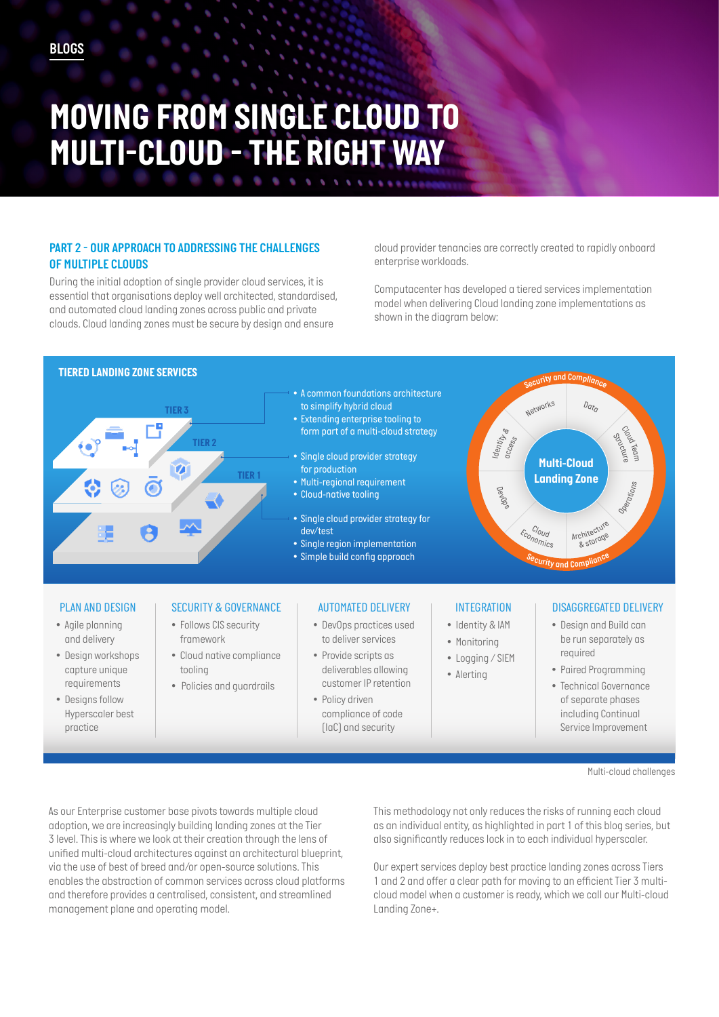# *MOVING FROM SINGLE CLOUD TO MULTI-CLOUD - THE RIGHT WAY*

### **PART 2 - OUR APPROACH TO ADDRESSING THE CHALLENGES** *OF MULTIPLE CLOUDS*

*During the initial adoption of single provider cloud services, it is essential that organisations deploy well architected, standardised, and automated cloud landing zones across public and private clouds. Cloud landing zones must be secure by design and ensure* 

*cloud provider tenancies are correctly created to rapidly onboard enterprise workloads.* 

*Computacenter has developed a tiered services implementation model when delivering Cloud landing zone implementations as shown in the diagram below:* 



*Multi-cloud challenges*

*As our Enterprise customer base pivots towards multiple cloud adoption, we are increasingly building landing zones at the Tier 3 level. This is where we look at their creation through the lens of unified multi-cloud architectures against an architectural blueprint, via the use of best of breed and/or open-source solutions. This enables the abstraction of common services across cloud platforms and therefore provides a centralised, consistent, and streamlined management plane and operating model.* 

*This methodology not only reduces the risks of running each cloud as an individual entity, as highlighted in part 1 of this blog series, but also significantly reduces lock in to each individual hyperscaler.* 

*Our expert services deploy best practice landing zones across Tiers 1 and 2 and offer a clear path for moving to an efficient Tier 3 multicloud model when a customer is ready, which we call our Multi-cloud Landing Zone+.*